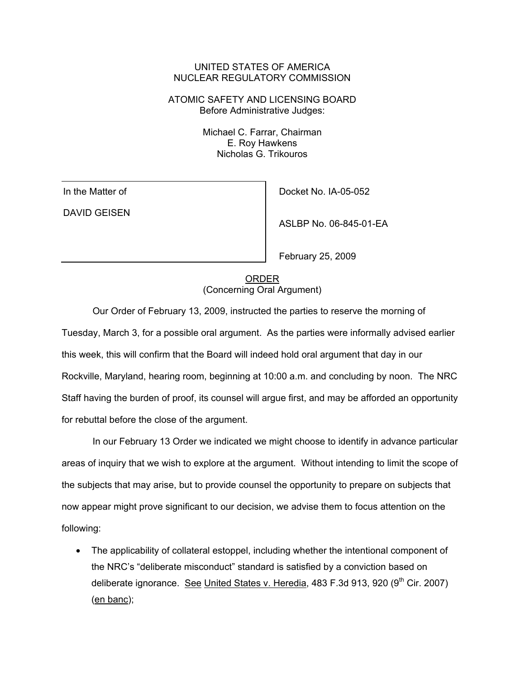## UNITED STATES OF AMERICA NUCLEAR REGULATORY COMMISSION

ATOMIC SAFETY AND LICENSING BOARD Before Administrative Judges:

> Michael C. Farrar, Chairman E. Roy Hawkens Nicholas G. Trikouros

In the Matter of DAVID GEISEN Docket No. IA-05-052

ASLBP No. 06-845-01-EA

February 25, 2009

**ORDER** (Concerning Oral Argument)

Our Order of February 13, 2009, instructed the parties to reserve the morning of Tuesday, March 3, for a possible oral argument. As the parties were informally advised earlier this week, this will confirm that the Board will indeed hold oral argument that day in our Rockville, Maryland, hearing room, beginning at 10:00 a.m. and concluding by noon. The NRC Staff having the burden of proof, its counsel will argue first, and may be afforded an opportunity for rebuttal before the close of the argument.

In our February 13 Order we indicated we might choose to identify in advance particular areas of inquiry that we wish to explore at the argument. Without intending to limit the scope of the subjects that may arise, but to provide counsel the opportunity to prepare on subjects that now appear might prove significant to our decision, we advise them to focus attention on the following:

• The applicability of collateral estoppel, including whether the intentional component of the NRC's "deliberate misconduct" standard is satisfied by a conviction based on deliberate ignorance. See United States v. Heredia,  $483$  F.3d 913, 920 (9<sup>th</sup> Cir. 2007) (en banc);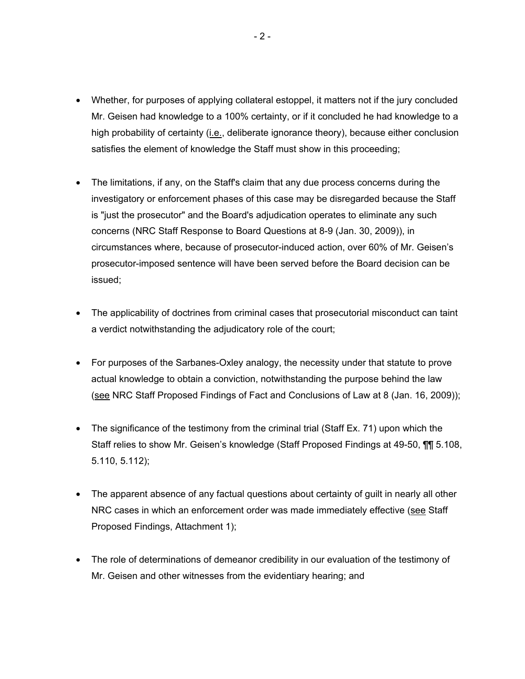- Whether, for purposes of applying collateral estoppel, it matters not if the jury concluded Mr. Geisen had knowledge to a 100% certainty, or if it concluded he had knowledge to a high probability of certainty (i.e., deliberate ignorance theory), because either conclusion satisfies the element of knowledge the Staff must show in this proceeding;
- The limitations, if any, on the Staff's claim that any due process concerns during the investigatory or enforcement phases of this case may be disregarded because the Staff is "just the prosecutor" and the Board's adjudication operates to eliminate any such concerns (NRC Staff Response to Board Questions at 8-9 (Jan. 30, 2009)), in circumstances where, because of prosecutor-induced action, over 60% of Mr. Geisen's prosecutor-imposed sentence will have been served before the Board decision can be issued;
- The applicability of doctrines from criminal cases that prosecutorial misconduct can taint a verdict notwithstanding the adjudicatory role of the court;
- For purposes of the Sarbanes-Oxley analogy, the necessity under that statute to prove actual knowledge to obtain a conviction, notwithstanding the purpose behind the law (see NRC Staff Proposed Findings of Fact and Conclusions of Law at 8 (Jan. 16, 2009));
- The significance of the testimony from the criminal trial (Staff Ex. 71) upon which the Staff relies to show Mr. Geisen's knowledge (Staff Proposed Findings at 49-50, ¶¶ 5.108, 5.110, 5.112);
- The apparent absence of any factual questions about certainty of guilt in nearly all other NRC cases in which an enforcement order was made immediately effective (see Staff Proposed Findings, Attachment 1);
- The role of determinations of demeanor credibility in our evaluation of the testimony of Mr. Geisen and other witnesses from the evidentiary hearing; and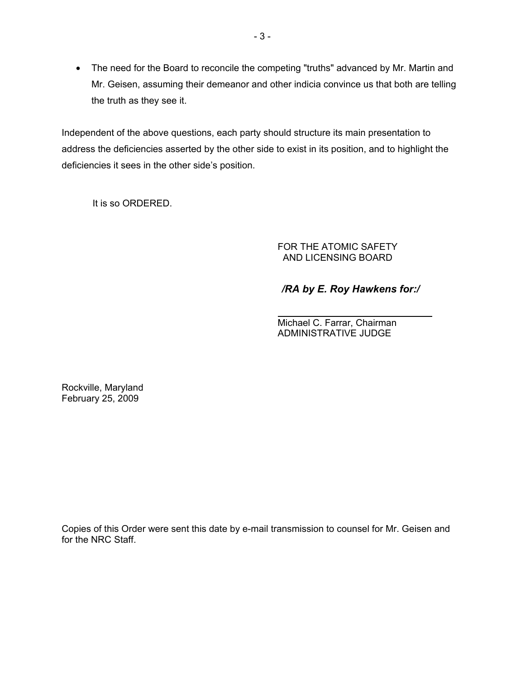• The need for the Board to reconcile the competing "truths" advanced by Mr. Martin and Mr. Geisen, assuming their demeanor and other indicia convince us that both are telling the truth as they see it.

Independent of the above questions, each party should structure its main presentation to address the deficiencies asserted by the other side to exist in its position, and to highlight the deficiencies it sees in the other side's position.

It is so ORDERED.

FOR THE ATOMIC SAFETY AND LICENSING BOARD

## */RA by E. Roy Hawkens for:/*

Michael C. Farrar, Chairman ADMINISTRATIVE JUDGE

Rockville, Maryland February 25, 2009

Copies of this Order were sent this date by e-mail transmission to counsel for Mr. Geisen and for the NRC Staff.